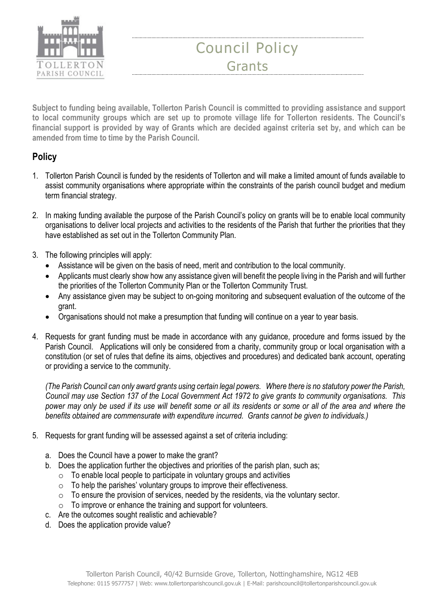

## Council Policy Grants

Subject to funding being available, Tollerton Parish Council is committed to providing assistance and support to local community groups which are set up to promote village life for Tollerton residents. The Council's financial support is provided by way of Grants which are decided against criteria set by, and which can be amended from time to time by the Parish Council.

## **Policy**

- 1. Tollerton Parish Council is funded by the residents of Tollerton and will make a limited amount of funds available to assist community organisations where appropriate within the constraints of the parish council budget and medium term financial strategy.
- 2. In making funding available the purpose of the Parish Council's policy on grants will be to enable local community organisations to deliver local projects and activities to the residents of the Parish that further the priorities that they have established as set out in the Tollerton Community Plan.
- 3. The following principles will apply:
	- Assistance will be given on the basis of need, merit and contribution to the local community.
	- Applicants must clearly show how any assistance given will benefit the people living in the Parish and will further the priorities of the Tollerton Community Plan or the Tollerton Community Trust.
	- Any assistance given may be subject to on-going monitoring and subsequent evaluation of the outcome of the grant.
	- Organisations should not make a presumption that funding will continue on a year to year basis.
- 4. Requests for grant funding must be made in accordance with any guidance, procedure and forms issued by the Parish Council. Applications will only be considered from a charity, community group or local organisation with a constitution (or set of rules that define its aims, objectives and procedures) and dedicated bank account, operating or providing a service to the community.

(The Parish Council can only award grants using certain legal powers. Where there is no statutory power the Parish, Council may use Section 137 of the Local Government Act 1972 to give grants to community organisations. This power may only be used if its use will benefit some or all its residents or some or all of the area and where the benefits obtained are commensurate with expenditure incurred. Grants cannot be given to individuals.)

- 5. Requests for grant funding will be assessed against a set of criteria including:
	- a. Does the Council have a power to make the grant?
	- b. Does the application further the objectives and priorities of the parish plan, such as;
		- $\circ$  To enable local people to participate in voluntary groups and activities
		- $\circ$  To help the parishes' voluntary groups to improve their effectiveness.
		- o To ensure the provision of services, needed by the residents, via the voluntary sector.
		- $\circ$  To improve or enhance the training and support for volunteers.
	- c. Are the outcomes sought realistic and achievable?
	- d. Does the application provide value?